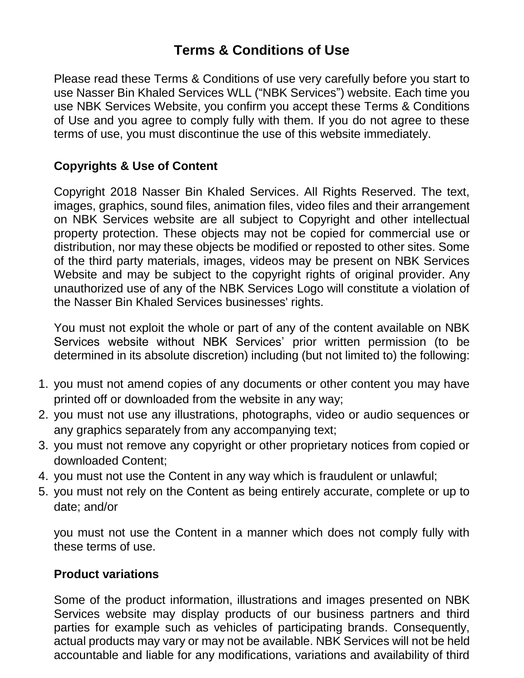# **Terms & Conditions of Use**

Please read these Terms & Conditions of use very carefully before you start to use Nasser Bin Khaled Services WLL ("NBK Services") website. Each time you use NBK Services Website, you confirm you accept these Terms & Conditions of Use and you agree to comply fully with them. If you do not agree to these terms of use, you must discontinue the use of this website immediately.

#### **Copyrights & Use of Content**

Copyright 2018 Nasser Bin Khaled Services. All Rights Reserved. The text, images, graphics, sound files, animation files, video files and their arrangement on NBK Services website are all subject to Copyright and other intellectual property protection. These objects may not be copied for commercial use or distribution, nor may these objects be modified or reposted to other sites. Some of the third party materials, images, videos may be present on NBK Services Website and may be subject to the copyright rights of original provider. Any unauthorized use of any of the NBK Services Logo will constitute a violation of the Nasser Bin Khaled Services businesses' rights.

You must not exploit the whole or part of any of the content available on NBK Services website without NBK Services' prior written permission (to be determined in its absolute discretion) including (but not limited to) the following:

- 1. you must not amend copies of any documents or other content you may have printed off or downloaded from the website in any way;
- 2. you must not use any illustrations, photographs, video or audio sequences or any graphics separately from any accompanying text;
- 3. you must not remove any copyright or other proprietary notices from copied or downloaded Content;
- 4. you must not use the Content in any way which is fraudulent or unlawful;
- 5. you must not rely on the Content as being entirely accurate, complete or up to date; and/or

you must not use the Content in a manner which does not comply fully with these terms of use.

#### **Product variations**

Some of the product information, illustrations and images presented on NBK Services website may display products of our business partners and third parties for example such as vehicles of participating brands. Consequently, actual products may vary or may not be available. NBK Services will not be held accountable and liable for any modifications, variations and availability of third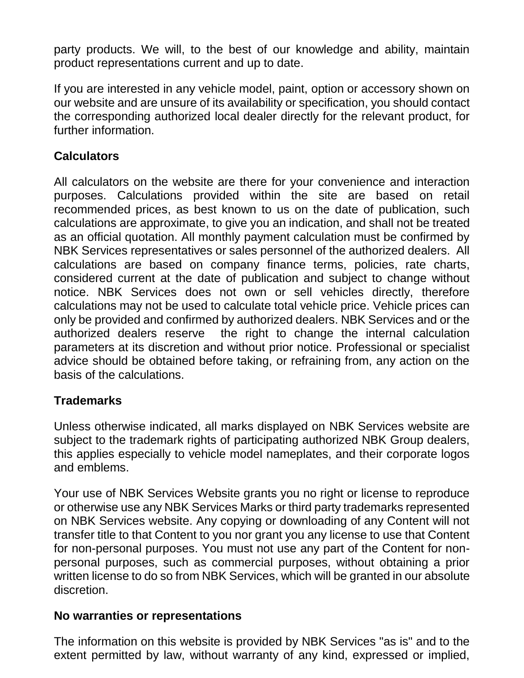party products. We will, to the best of our knowledge and ability, maintain product representations current and up to date.

If you are interested in any vehicle model, paint, option or accessory shown on our website and are unsure of its availability or specification, you should contact the corresponding authorized local dealer directly for the relevant product, for further information.

#### **Calculators**

All calculators on the website are there for your convenience and interaction purposes. Calculations provided within the site are based on retail recommended prices, as best known to us on the date of publication, such calculations are approximate, to give you an indication, and shall not be treated as an official quotation. All monthly payment calculation must be confirmed by NBK Services representatives or sales personnel of the authorized dealers. All calculations are based on company finance terms, policies, rate charts, considered current at the date of publication and subject to change without notice. NBK Services does not own or sell vehicles directly, therefore calculations may not be used to calculate total vehicle price. Vehicle prices can only be provided and confirmed by authorized dealers. NBK Services and or the authorized dealers reserve the right to change the internal calculation parameters at its discretion and without prior notice. Professional or specialist advice should be obtained before taking, or refraining from, any action on the basis of the calculations.

#### **Trademarks**

Unless otherwise indicated, all marks displayed on NBK Services website are subject to the trademark rights of participating authorized NBK Group dealers, this applies especially to vehicle model nameplates, and their corporate logos and emblems.

Your use of NBK Services Website grants you no right or license to reproduce or otherwise use any NBK Services Marks or third party trademarks represented on NBK Services website. Any copying or downloading of any Content will not transfer title to that Content to you nor grant you any license to use that Content for non-personal purposes. You must not use any part of the Content for nonpersonal purposes, such as commercial purposes, without obtaining a prior written license to do so from NBK Services, which will be granted in our absolute discretion.

#### **No warranties or representations**

The information on this website is provided by NBK Services "as is" and to the extent permitted by law, without warranty of any kind, expressed or implied,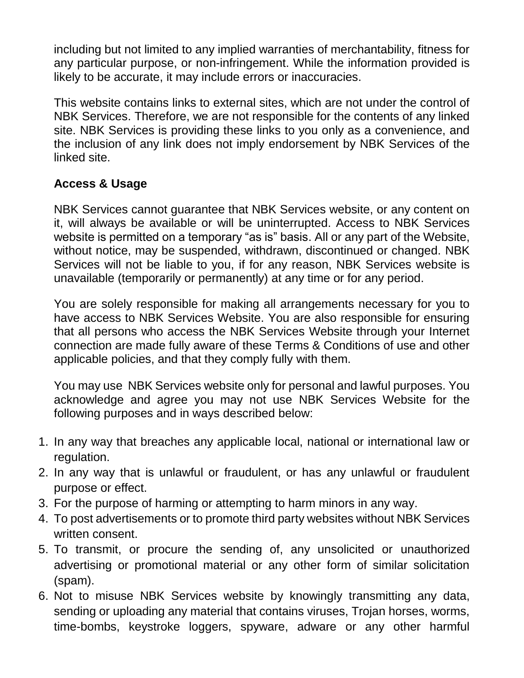including but not limited to any implied warranties of merchantability, fitness for any particular purpose, or non-infringement. While the information provided is likely to be accurate, it may include errors or inaccuracies.

This website contains links to external sites, which are not under the control of NBK Services. Therefore, we are not responsible for the contents of any linked site. NBK Services is providing these links to you only as a convenience, and the inclusion of any link does not imply endorsement by NBK Services of the linked site.

#### **Access & Usage**

NBK Services cannot guarantee that NBK Services website, or any content on it, will always be available or will be uninterrupted. Access to NBK Services website is permitted on a temporary "as is" basis. All or any part of the Website, without notice, may be suspended, withdrawn, discontinued or changed. NBK Services will not be liable to you, if for any reason, NBK Services website is unavailable (temporarily or permanently) at any time or for any period.

You are solely responsible for making all arrangements necessary for you to have access to NBK Services Website. You are also responsible for ensuring that all persons who access the NBK Services Website through your Internet connection are made fully aware of these Terms & Conditions of use and other applicable policies, and that they comply fully with them.

You may use NBK Services website only for personal and lawful purposes. You acknowledge and agree you may not use NBK Services Website for the following purposes and in ways described below:

- 1. In any way that breaches any applicable local, national or international law or regulation.
- 2. In any way that is unlawful or fraudulent, or has any unlawful or fraudulent purpose or effect.
- 3. For the purpose of harming or attempting to harm minors in any way.
- 4. To post advertisements or to promote third party websites without NBK Services written consent.
- 5. To transmit, or procure the sending of, any unsolicited or unauthorized advertising or promotional material or any other form of similar solicitation (spam).
- 6. Not to misuse NBK Services website by knowingly transmitting any data, sending or uploading any material that contains viruses, Trojan horses, worms, time-bombs, keystroke loggers, spyware, adware or any other harmful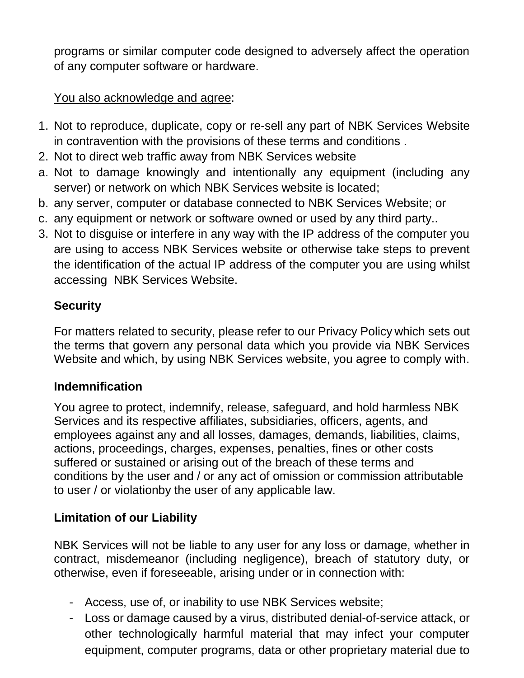programs or similar computer code designed to adversely affect the operation of any computer software or hardware.

#### You also acknowledge and agree:

- 1. Not to reproduce, duplicate, copy or re-sell any part of NBK Services Website in contravention with the provisions of these terms and conditions .
- 2. Not to direct web traffic away from NBK Services website
- a. Not to damage knowingly and intentionally any equipment (including any server) or network on which NBK Services website is located;
- b. any server, computer or database connected to NBK Services Website; or
- c. any equipment or network or software owned or used by any third party..
- 3. Not to disguise or interfere in any way with the IP address of the computer you are using to access NBK Services website or otherwise take steps to prevent the identification of the actual IP address of the computer you are using whilst accessing NBK Services Website.

### **Security**

For matters related to security, please refer to our Privacy Policy which sets out the terms that govern any personal data which you provide via NBK Services Website and which, by using NBK Services website, you agree to comply with.

#### **Indemnification**

You agree to protect, indemnify, release, safeguard, and hold harmless NBK Services and its respective affiliates, subsidiaries, officers, agents, and employees against any and all losses, damages, demands, liabilities, claims, actions, proceedings, charges, expenses, penalties, fines or other costs suffered or sustained or arising out of the breach of these terms and conditions by the user and / or any act of omission or commission attributable to user / or violationby the user of any applicable law.

## **Limitation of our Liability**

NBK Services will not be liable to any user for any loss or damage, whether in contract, misdemeanor (including negligence), breach of statutory duty, or otherwise, even if foreseeable, arising under or in connection with:

- Access, use of, or inability to use NBK Services website;
- Loss or damage caused by a virus, distributed denial-of-service attack, or other technologically harmful material that may infect your computer equipment, computer programs, data or other proprietary material due to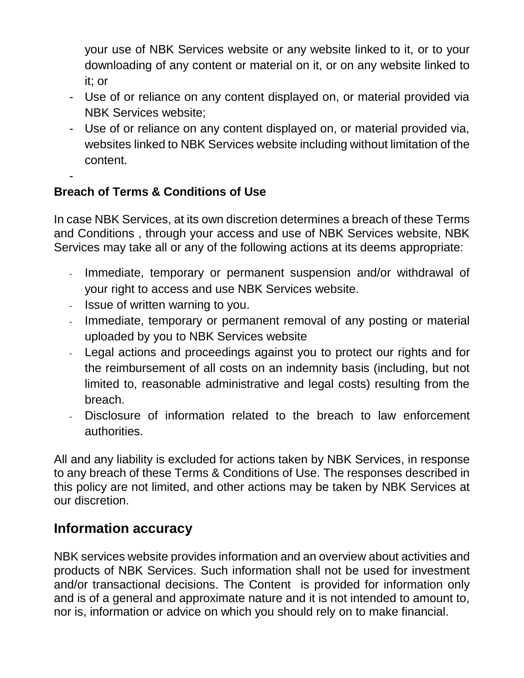your use of NBK Services website or any website linked to it, or to your downloading of any content or material on it, or on any website linked to it; or

- Use of or reliance on any content displayed on, or material provided via NBK Services website;
- Use of or reliance on any content displayed on, or material provided via, websites linked to NBK Services website including without limitation of the content.

## **Breach of Terms & Conditions of Use**

-

In case NBK Services, at its own discretion determines a breach of these Terms and Conditions , through your access and use of NBK Services website, NBK Services may take all or any of the following actions at its deems appropriate:

- Immediate, temporary or permanent suspension and/or withdrawal of your right to access and use NBK Services website.
- Issue of written warning to you.
- Immediate, temporary or permanent removal of any posting or material uploaded by you to NBK Services website
- Legal actions and proceedings against you to protect our rights and for the reimbursement of all costs on an indemnity basis (including, but not limited to, reasonable administrative and legal costs) resulting from the breach.
- Disclosure of information related to the breach to law enforcement authorities.

All and any liability is excluded for actions taken by NBK Services, in response to any breach of these Terms & Conditions of Use. The responses described in this policy are not limited, and other actions may be taken by NBK Services at our discretion.

## **Information accuracy**

NBK services website provides information and an overview about activities and products of NBK Services. Such information shall not be used for investment and/or transactional decisions. The Content is provided for information only and is of a general and approximate nature and it is not intended to amount to, nor is, information or advice on which you should rely on to make financial.